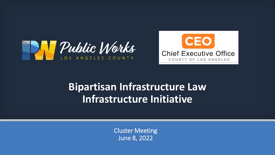



### **Bipartisan Infrastructure Law Infrastructure Initiative**

Cluster Meeting June 8, 2022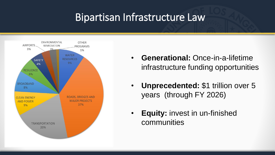#### Bipartisan Infrastructure Law



- **Generational:** Once-in-a-lifetime infrastructure funding opportunities
- **Unprecedented:** \$1 trillion over 5 years (through FY 2026)
- **Equity:** invest in un-finished communities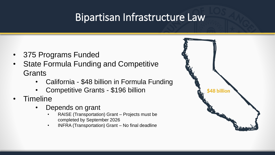### Bipartisan Infrastructure Law

- 375 Programs Funded
- State Formula Funding and Competitive **Grants** 
	- California \$48 billion in Formula Funding
	- Competitive Grants \$196 billion
- Timeline
	- Depends on grant
		- RAISE (Transportation) Grant Projects must be completed by September 2026
		- INFRA (Transportation) Grant No final deadline

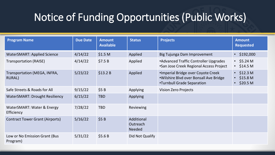# Notice of Funding Opportunities (Public Works)

| <b>Program Name</b>                       | <b>Due Date</b> | <b>Amount</b><br><b>Available</b> | <b>Status</b>                           | <b>Projects</b>                                                                                            | <b>Amount</b><br><b>Requested</b>                                           |
|-------------------------------------------|-----------------|-----------------------------------|-----------------------------------------|------------------------------------------------------------------------------------------------------------|-----------------------------------------------------------------------------|
| <b>WaterSMART: Applied Science</b>        | 4/14/22         | \$1.5 <sub>M</sub>                | Applied                                 | Big Tujunga Dam Improvement                                                                                | \$192,000<br>$\bullet$                                                      |
| <b>Transportation (RAISE)</b>             | 4/14/22         | \$7.5B                            | Applied                                 | •Advanced Traffic Controller Upgrades<br>•San Jose Creek Regional Access Project                           | $\cdot$ \$5.24 M<br>\$14.5 <sub>M</sub><br>$\bullet$                        |
| Transportation (MEGA, INFRA,<br>RURAL)    | 5/23/22         | \$13.2 B                          | Applied                                 | ·Imperial Bridge over Coyote Creek<br>.Wilshire Blvd over Bonsall Ave Bridge<br>•Turnbull Grade Separation | $\cdot$ \$12.3 M<br>\$15.8 <sub>M</sub><br>\$20.5 <sub>M</sub><br>$\bullet$ |
| Safe Streets & Roads for All              | 9/15/22         | \$5B                              | Applying                                | Vision Zero Projects                                                                                       |                                                                             |
| <b>WaterSMART: Drought Resiliency</b>     | 6/15/22         | <b>TBD</b>                        | Applying                                |                                                                                                            |                                                                             |
| WaterSMART: Water & Energy<br>Efficiency  | 7/28/22         | <b>TBD</b>                        | Reviewing                               |                                                                                                            |                                                                             |
| <b>Contract Tower Grant (Airports)</b>    | 5/16/22         | \$5B                              | Additional<br>Outreach<br><b>Needed</b> |                                                                                                            |                                                                             |
| Low or No Emission Grant (Bus<br>Program) | 5/31/22         | \$5.6B                            | Did Not Qualify                         |                                                                                                            |                                                                             |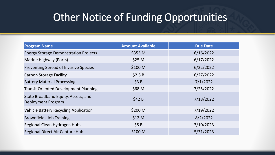#### Other Notice of Funding Opportunities

| <b>Program Name</b>                                       | <b>Amount Available</b> | <b>Due Date</b> |
|-----------------------------------------------------------|-------------------------|-----------------|
| <b>Energy Storage Demonstration Projects</b>              | \$355 M                 | 6/16/2022       |
| Marine Highway (Ports)                                    | \$25 M                  | 6/17/2022       |
| Preventing Spread of Invasive Species                     | \$100 M                 | 6/22/2022       |
| Carbon Storage Facility                                   | \$2.5B                  | 6/27/2022       |
| <b>Battery Material Processing</b>                        | \$3B                    | 7/1/2022        |
| <b>Transit Oriented Development Planning</b>              | \$68 M                  | 7/25/2022       |
| State Broadband Equity, Access, and<br>Deployment Program | \$42B                   | 7/18/2022       |
| Vehicle Battery Recycling Application                     | \$200 M                 | 7/19/2022       |
| <b>Brownfields Job Training</b>                           | \$12 M                  | 8/2/2022        |
| Regional Clean Hydrogen Hubs                              | \$8B                    | 3/10/2023       |
| Regional Direct Air Capture Hub                           | \$100 M                 | 5/31/2023       |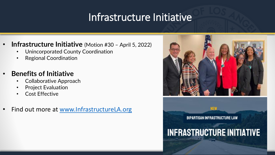#### Infrastructure Initiative

- **Infrastructure Initiative** (Motion #30 April 5, 2022)
	- Unincorporated County Coordination
	- Regional Coordination
- **Benefits of Initiative**
	- Collaborative Approach
	- Project Evaluation
	- Cost Effective
- Find out more at [www.InfrastructureLA.org](http://www.infrastructurela.org/)



**BIPARTISAN INFRASTRUCTURE LAW** 

**NEW** 

# **INFRASTRUCTURE INITIATIVE**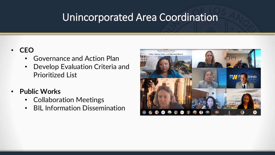### Unincorporated Area Coordination

#### • **CEO**

- Governance and Action Plan
- Develop Evaluation Criteria and Prioritized List
- **Public Works**
	- Collaboration Meetings
	- BIL Information Dissemination

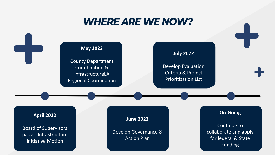#### **WHERE ARE WE NOW?**